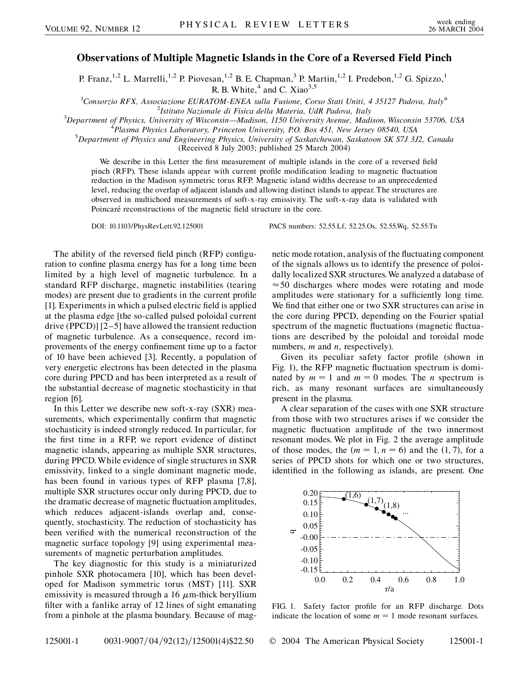## **Observations of Multiple Magnetic Islands in the Core of a Reversed Field Pinch**

P. Franz,<sup>1,2</sup> L. Marrelli,<sup>1,2</sup> P. Piovesan,<sup>1,2</sup> B. E. Chapman,<sup>3</sup> P. Martin,<sup>1,2</sup> I. Predebon,<sup>1,2</sup> G. Spizzo,<sup>1</sup> R. B. White, $4$  and C. Xiao<sup>3,5</sup>

1 *Consorzio RFX, Associazione EURATOM-ENEA sulla Fusione, Corso Stati Uniti, 4 35127 Padova, Italy*\* <sup>2</sup> *Istituto Nazionale di Fisica della Materia, UdR Padova, Italy* <sup>3</sup>

*Department of Physics, University of Wisconsin—Madison, 1150 University Avenue, Madison, Wisconsin 53706, USA* <sup>4</sup>

<sup>*P*</sup> Plasma Physics Laboratory, Princeton University, P.O. Box 451, New Jersey 08540, USA

*Department of Physics and Engineering Physics, University of Saskatchewan, Saskatoon SK S7J 3J2, Canada*

(Received 8 July 2003; published 25 March 2004)

We describe in this Letter the first measurement of multiple islands in the core of a reversed field pinch (RFP). These islands appear with current profile modification leading to magnetic fluctuation reduction in the Madison symmetric torus RFP. Magnetic island widths decrease to an unprecedented level, reducing the overlap of adjacent islands and allowing distinct islands to appear. The structures are observed in multichord measurements of soft-x-ray emissivity. The soft-x-ray data is validated with Poincaré reconstructions of the magnetic field structure in the core.

DOI: 10.1103/PhysRevLett.92.125001 PACS numbers: 52.55.Lf, 52.25.Os, 52.55.Wq, 52.55.Tn

The ability of the reversed field pinch (RFP) configuration to confine plasma energy has for a long time been limited by a high level of magnetic turbulence. In a standard RFP discharge, magnetic instabilities (tearing modes) are present due to gradients in the current profile [1]. Experiments in which a pulsed electric field is applied at the plasma edge [the so-called pulsed poloidal current drive (PPCD)] [2–5] have allowed the transient reduction of magnetic turbulence. As a consequence, record improvements of the energy confinement time up to a factor of 10 have been achieved [3]. Recently, a population of very energetic electrons has been detected in the plasma core during PPCD and has been interpreted as a result of the substantial decrease of magnetic stochasticity in that region [6].

In this Letter we describe new soft-x-ray (SXR) measurements, which experimentally confirm that magnetic stochasticity is indeed strongly reduced. In particular, for the first time in a RFP, we report evidence of distinct magnetic islands, appearing as multiple SXR structures, during PPCD.While evidence of single structures in SXR emissivity, linked to a single dominant magnetic mode, has been found in various types of RFP plasma [7,8], multiple SXR structures occur only during PPCD, due to the dramatic decrease of magnetic fluctuation amplitudes, which reduces adjacent-islands overlap and, consequently, stochasticity. The reduction of stochasticity has been verified with the numerical reconstruction of the magnetic surface topology [9] using experimental measurements of magnetic perturbation amplitudes.

The key diagnostic for this study is a miniaturized pinhole SXR photocamera [10], which has been developed for Madison symmetric torus (MST) [11]. SXR emissivity is measured through a 16  $\mu$ m-thick beryllium filter with a fanlike array of 12 lines of sight emanating from a pinhole at the plasma boundary. Because of magnetic mode rotation, analysis of the fluctuating component of the signals allows us to identify the presence of poloidally localized SXR structures.We analyzed a database of  $\approx$  50 discharges where modes were rotating and mode amplitudes were stationary for a sufficiently long time. We find that either one or two SXR structures can arise in the core during PPCD, depending on the Fourier spatial spectrum of the magnetic fluctuations (magnetic fluctuations are described by the poloidal and toroidal mode numbers, *m* and *n*, respectively).

Given its peculiar safety factor profile (shown in Fig. 1), the RFP magnetic fluctuation spectrum is dominated by  $m = 1$  and  $m = 0$  modes. The *n* spectrum is rich, as many resonant surfaces are simultaneously present in the plasma.

A clear separation of the cases with one SXR structure from those with two structures arises if we consider the magnetic fluctuation amplitude of the two innermost resonant modes. We plot in Fig. 2 the average amplitude of those modes, the  $(m = 1, n = 6)$  and the  $(1, 7)$ , for a series of PPCD shots for which one or two structures, identified in the following as islands, are present. One



FIG. 1. Safety factor profile for an RFP discharge. Dots indicate the location of some  $m = 1$  mode resonant surfaces.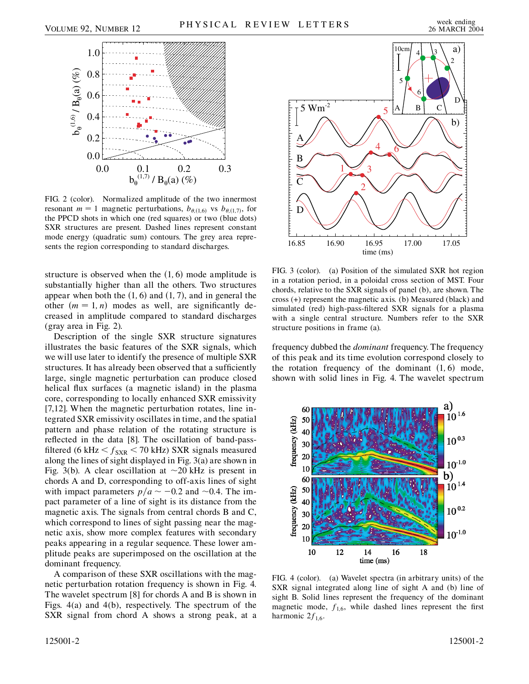

FIG. 2 (color). Normalized amplitude of the two innermost resonant  $m = 1$  magnetic perturbations,  $b_{\theta,(1,6)}$  vs  $b_{\theta,(1,7)}$ , for the PPCD shots in which one (red squares) or two (blue dots) SXR structures are present. Dashed lines represent constant mode energy (quadratic sum) contours. The grey area represents the region corresponding to standard discharges.

structure is observed when the  $(1, 6)$  mode amplitude is substantially higher than all the others. Two structures appear when both the  $(1, 6)$  and  $(1, 7)$ , and in general the other  $(m = 1, n)$  modes as well, are significantly decreased in amplitude compared to standard discharges (gray area in Fig. 2).

Description of the single SXR structure signatures illustrates the basic features of the SXR signals, which we will use later to identify the presence of multiple SXR structures. It has already been observed that a sufficiently large, single magnetic perturbation can produce closed helical flux surfaces (a magnetic island) in the plasma core, corresponding to locally enhanced SXR emissivity [7,12]. When the magnetic perturbation rotates, line integrated SXR emissivity oscillates in time, and the spatial pattern and phase relation of the rotating structure is reflected in the data [8]. The oscillation of band-passfiltered (6 kHz  $\leq f_{\text{SXR}}$   $\leq$  70 kHz) SXR signals measured along the lines of sight displayed in Fig. 3(a) are shown in Fig. 3(b). A clear oscillation at  $\sim$  20 kHz is present in chords A and D, corresponding to off-axis lines of sight with impact parameters  $p/a \sim -0.2$  and  $\sim 0.4$ . The impact parameter of a line of sight is its distance from the magnetic axis. The signals from central chords B and C, which correspond to lines of sight passing near the magnetic axis, show more complex features with secondary peaks appearing in a regular sequence. These lower amplitude peaks are superimposed on the oscillation at the dominant frequency.

A comparison of these SXR oscillations with the magnetic perturbation rotation frequency is shown in Fig. 4. The wavelet spectrum [8] for chords A and B is shown in Figs. 4(a) and 4(b), respectively. The spectrum of the SXR signal from chord A shows a strong peak, at a



FIG. 3 (color). (a) Position of the simulated SXR hot region in a rotation period, in a poloidal cross section of MST. Four chords, relative to the SXR signals of panel (b), are shown. The cross (+) represent the magnetic axis. (b) Measured (black) and simulated (red) high-pass-filtered SXR signals for a plasma with a single central structure. Numbers refer to the SXR structure positions in frame (a).

frequency dubbed the *dominant* frequency. The frequency of this peak and its time evolution correspond closely to the rotation frequency of the dominant  $(1, 6)$  mode, shown with solid lines in Fig. 4. The wavelet spectrum



FIG. 4 (color). (a) Wavelet spectra (in arbitrary units) of the SXR signal integrated along line of sight A and (b) line of sight B. Solid lines represent the frequency of the dominant magnetic mode,  $f_{1,6}$ , while dashed lines represent the first harmonic  $2f_{1,6}$ .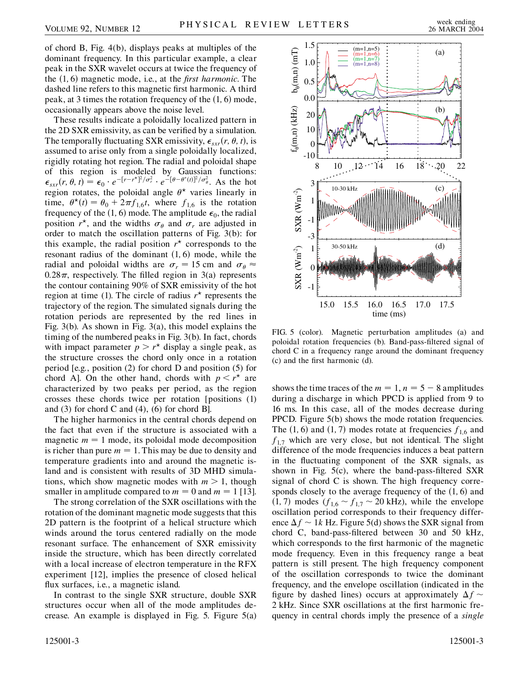of chord B, Fig. 4(b), displays peaks at multiples of the dominant frequency. In this particular example, a clear peak in the SXR wavelet occurs at twice the frequency of the 1*;* 6 magnetic mode, i.e., at the *first harmonic*. The dashed line refers to this magnetic first harmonic. A third peak, at 3 times the rotation frequency of the  $(1, 6)$  mode, occasionally appears above the noise level.

These results indicate a poloidally localized pattern in the 2D SXR emissivity, as can be verified by a simulation. The temporally fluctuating SXR emissivity,  $\epsilon_{srr}(r, \theta, t)$ , is assumed to arise only from a single poloidally localized, rigidly rotating hot region. The radial and poloidal shape of this region is modeled by Gaussian functions:  $\epsilon_{s} = \epsilon_0 \cdot e^{-\left[r - r^*\right]^2/\sigma_r^2} \cdot e^{-\left[\theta - \theta^*(t)\right]^2/\sigma_\theta^2}$ . As the hot region rotates, the poloidal angle  $\theta^*$  varies linearly in time,  $\theta^*(t) = \theta_0 + 2\pi f_{1,6}t$ , where  $f_{1,6}$  is the rotation frequency of the (1, 6) mode. The amplitude  $\epsilon_0$ , the radial position  $r^*$ , and the widths  $\sigma_{\theta}$  and  $\sigma_r$  are adjusted in order to match the oscillation patterns of Fig. 3(b): for this example, the radial position  $r^*$  corresponds to the resonant radius of the dominant  $(1, 6)$  mode, while the radial and poloidal widths are  $\sigma_r = 15$  cm and  $\sigma_\theta \approx$  $0.28\pi$ , respectively. The filled region in 3(a) represents the contour containing 90% of SXR emissivity of the hot region at time (1). The circle of radius  $r^*$  represents the trajectory of the region. The simulated signals during the rotation periods are represented by the red lines in Fig. 3(b). As shown in Fig. 3(a), this model explains the timing of the numbered peaks in Fig. 3(b). In fact, chords with impact parameter  $p > r^*$  display a single peak, as the structure crosses the chord only once in a rotation period [e.g., position (2) for chord D and position (5) for chord A]. On the other hand, chords with  $p \leq r^*$  are characterized by two peaks per period, as the region crosses these chords twice per rotation [positions (1) and  $(3)$  for chord C and  $(4)$ ,  $(6)$  for chord B].

The higher harmonics in the central chords depend on the fact that even if the structure is associated with a magnetic  $m = 1$  mode, its poloidal mode decomposition is richer than pure  $m = 1$ . This may be due to density and temperature gradients into and around the magnetic island and is consistent with results of 3D MHD simulations, which show magnetic modes with  $m > 1$ , though smaller in amplitude compared to  $m = 0$  and  $m = 1$  [13].

The strong correlation of the SXR oscillations with the rotation of the dominant magnetic mode suggests that this 2D pattern is the footprint of a helical structure which winds around the torus centered radially on the mode resonant surface. The enhancement of SXR emissivity inside the structure, which has been directly correlated with a local increase of electron temperature in the RFX experiment [12], implies the presence of closed helical flux surfaces, i.e., a magnetic island.

In contrast to the single SXR structure, double SXR structures occur when all of the mode amplitudes decrease. An example is displayed in Fig. 5. Figure 5(a)



FIG. 5 (color). Magnetic perturbation amplitudes (a) and poloidal rotation frequencies (b). Band-pass-filtered signal of chord C in a frequency range around the dominant frequency (c) and the first harmonic (d).

shows the time traces of the  $m = 1$ ,  $n = 5 - 8$  amplitudes during a discharge in which PPCD is applied from 9 to 16 ms. In this case, all of the modes decrease during PPCD. Figure 5(b) shows the mode rotation frequencies. The  $(1, 6)$  and  $(1, 7)$  modes rotate at frequencies  $f_{1,6}$  and  $f_{1,7}$  which are very close, but not identical. The slight difference of the mode frequencies induces a beat pattern in the fluctuating component of the SXR signals, as shown in Fig. 5(c), where the band-pass-filtered SXR signal of chord C is shown. The high frequency corresponds closely to the average frequency of the  $(1, 6)$  and  $(1, 7)$  modes  $(f_{1,6} \sim f_{1,7} \sim 20 \text{ kHz})$ , while the envelope oscillation period corresponds to their frequency difference  $\Delta f \sim 1k$  Hz. Figure 5(d) shows the SXR signal from chord C, band-pass-filtered between 30 and 50 kHz, which corresponds to the first harmonic of the magnetic mode frequency. Even in this frequency range a beat pattern is still present. The high frequency component of the oscillation corresponds to twice the dominant frequency, and the envelope oscillation (indicated in the figure by dashed lines) occurs at approximately  $\Delta f \sim$ 2 kHz. Since SXR oscillations at the first harmonic frequency in central chords imply the presence of a *single*